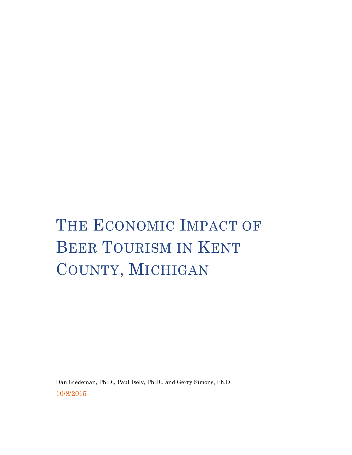# THE ECONOMIC IMPACT OF BEER TOURISM IN KENT COUNTY, MICHIGAN

Dan Giedeman, Ph.D., Paul Isely, Ph.D., and Gerry Simons, Ph.D. 10/8/2015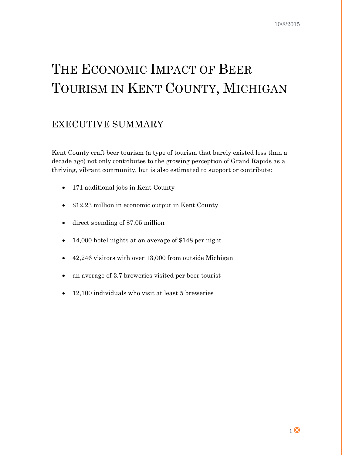# THE ECONOMIC IMPACT OF BEER TOURISM IN KENT COUNTY, MICHIGAN

# <span id="page-1-0"></span>EXECUTIVE SUMMARY

Kent County craft beer tourism (a type of tourism that barely existed less than a decade ago) not only contributes to the growing perception of Grand Rapids as a thriving, vibrant community, but is also estimated to support or contribute:

- 171 additional jobs in Kent County
- \$12.23 million in economic output in Kent County
- direct spending of \$7.05 million
- 14,000 hotel nights at an average of \$148 per night
- 42,246 visitors with over 13,000 from outside Michigan
- an average of 3.7 breweries visited per beer tourist
- 12,100 individuals who visit at least 5 breweries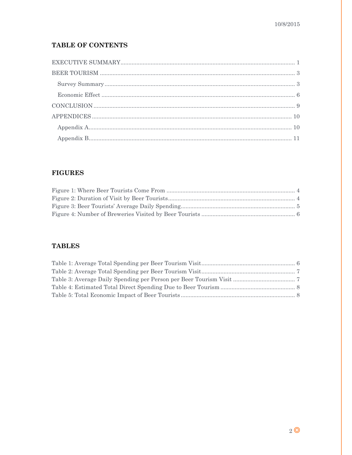#### **TABLE OF CONTENTS**

#### **FIGURES**

#### **TABLES**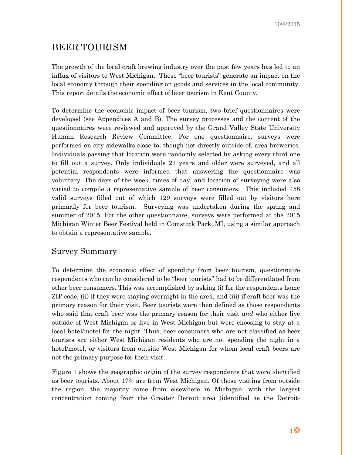### <span id="page-3-0"></span>BEER TOURISM

The growth of the local craft brewing industry over the past few years has led to an influx of visitors to West Michigan. These "beer tourists" generate an impact on the local economy through their spending on goods and services in the local community. This report details the economic effect of beer tourism in Kent County.

To determine the economic impact of beer tourism, two brief questionnaires were developed (see Appendices A and B). The survey processes and the content of the questionnaires were reviewed and approved by the Grand Valley State University Human Research Review Committee. For one questionnaire, surveys were performed on city sidewalks close to, though not directly outside of, area breweries. Individuals passing that location were randomly selected by asking every third one to fill out a survey. Only individuals 21 years and older were surveyed, and all potential respondents were informed that answering the questionnaire was voluntary. The days of the week, times of day, and location of surveying were also varied to compile a representative sample of beer consumers. This included 458 valid surveys filled out of which 129 surveys were filled out by visitors here primarily for beer tourism. Surveying was undertaken during the spring and summer of 2015. For the other questionnaire, surveys were performed at the 2015 Michigan Winter Beer Festival held in Comstock Park, MI, using a similar approach to obtain a representative sample.

#### <span id="page-3-1"></span>Survey Summary

To determine the economic effect of spending from beer tourism, questionnaire respondents who can be considered to be "beer tourists" had to be differentiated from other beer consumers. This was accomplished by asking (i) for the respondents home ZIP code, (ii) if they were staying overnight in the area, and (iii) if craft beer was the primary reason for their visit. Beer tourists were then defined as those respondents who said that craft beer was the primary reason for their visit *and* who either live outside of West Michigan or live in West Michigan but were choosing to stay at a local hotel/motel for the night. Thus, beer consumers who are not classified as beer tourists are either West Michigan residents who are not spending the night in a hotel/motel, or visitors from outside West Michigan for whom local craft beers are not the primary purpose for their visit.

Figure 1 shows the geographic origin of the survey respondents that were identified as beer tourists. About 17% are from West Michigan. Of those visiting from outside the region, the majority come from elsewhere in Michigan, with the largest concentration coming from the Greater Detroit area (identified as the Detroit-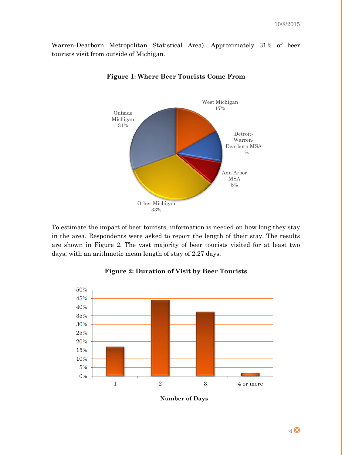<span id="page-4-0"></span>Warren-Dearborn Metropolitan Statistical Area). Approximately 31% of beer tourists visit from outside of Michigan.



#### **Figure 1: Where Beer Tourists Come From**

To estimate the impact of beer tourists, information is needed on how long they stay in the area. Respondents were asked to report the length of their stay. The results are shown in Figure 2. The vast majority of beer tourists visited for at least two days, with an arithmetic mean length of stay of 2.27 days.

<span id="page-4-1"></span>

**Figure 2: Duration of Visit by Beer Tourists**

**Number of Days**

4 **O**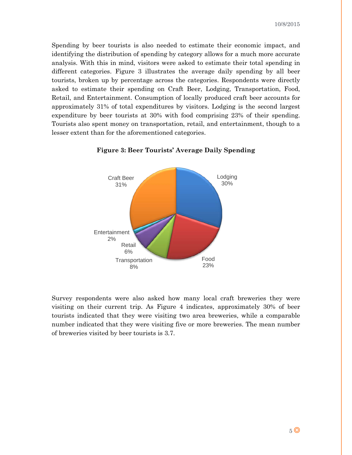Spending by beer tourists is also needed to estimate their economic impact, and identifying the distribution of spending by category allows for a much more accurate analysis. With this in mind, visitors were asked to estimate their total spending in different categories. Figure 3 illustrates the average daily spending by all beer tourists, broken up by percentage across the categories. Respondents were directly asked to estimate their spending on Craft Beer, Lodging, Transportation, Food, Retail, and Entertainment. Consumption of locally produced craft beer accounts for approximately 31% of total expenditures by visitors. Lodging is the second largest expenditure by beer tourists at 30% with food comprising 23% of their spending. Tourists also spent money on transportation, retail, and entertainment, though to a lesser extent than for the aforementioned categories.

<span id="page-5-0"></span>

**Figure 3: Beer Tourists' Average Daily Spending**

Survey respondents were also asked how many local craft breweries they were visiting on their current trip. As Figure 4 indicates, approximately 30% of beer tourists indicated that they were visiting two area breweries, while a comparable number indicated that they were visiting five or more breweries. The mean number of breweries visited by beer tourists is 3.7.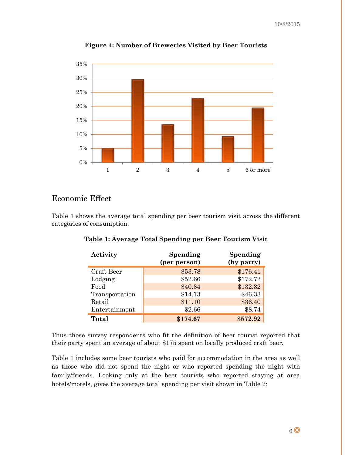<span id="page-6-1"></span>

**Figure 4: Number of Breweries Visited by Beer Tourists**

#### <span id="page-6-0"></span>Economic Effect

<span id="page-6-2"></span>Table 1 shows the average total spending per beer tourism visit across the different categories of consumption.

| Activity       | Spending<br>(per person) | Spending<br>(by party) |
|----------------|--------------------------|------------------------|
| Craft Beer     | \$53.78                  | \$176.41               |
| Lodging        | \$52.66                  | \$172.72               |
| Food           | \$40.34                  | \$132.32               |
| Transportation | \$14.13                  | \$46.33                |
| Retail         | \$11.10                  | \$36.40                |
| Entertainment  | \$2.66                   | \$8.74                 |
| Total          | \$174.67                 | \$572.92               |

**Table 1: Average Total Spending per Beer Tourism Visit**

Thus those survey respondents who fit the definition of beer tourist reported that their party spent an average of about \$175 spent on locally produced craft beer.

Table 1 includes some beer tourists who paid for accommodation in the area as well as those who did not spend the night or who reported spending the night with family/friends. Looking only at the beer tourists who reported staying at area hotels/motels, gives the average total spending per visit shown in Table 2: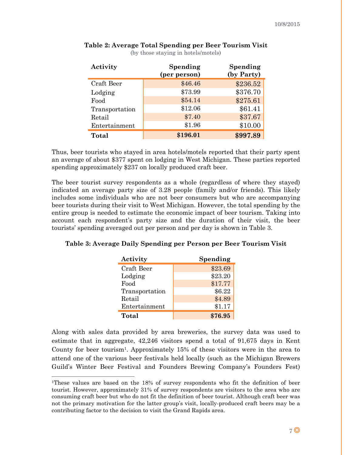| Activity       | Spending<br>(per person) | Spending<br>(by Party) |
|----------------|--------------------------|------------------------|
| Craft Beer     | \$46.46                  | \$236.52               |
| Lodging        | \$73.99                  | \$376.70               |
| Food           | \$54.14                  | \$275.61               |
| Transportation | \$12.06                  | \$61.41                |
| Retail         | \$7.40                   | \$37.67                |
| Entertainment  | \$1.96                   | \$10.00                |
| Total          | \$196.01                 | \$997.89               |

#### <span id="page-7-0"></span>**Table 2: Average Total Spending per Beer Tourism Visit** (by those staying in hotels/motels)

Thus, beer tourists who stayed in area hotels/motels reported that their party spent an average of about \$377 spent on lodging in West Michigan. These parties reported spending approximately \$237 on locally produced craft beer.

The beer tourist survey respondents as a whole (regardless of where they stayed) indicated an average party size of 3.28 people (family and/or friends). This likely includes some individuals who are not beer consumers but who are accompanying beer tourists during their visit to West Michigan. However, the total spending by the entire group is needed to estimate the economic impact of beer tourism. Taking into account each respondent's party size and the duration of their visit, the beer tourists' spending averaged out per person and per day is shown in Table 3.

<span id="page-7-1"></span>

| Table 3: Average Daily Spending per Person per Beer Tourism Visit |  |  |
|-------------------------------------------------------------------|--|--|

| Activity       | Spending |
|----------------|----------|
| Craft Beer     | \$23.69  |
| Lodging        | \$23.20  |
| Food           | \$17.77  |
| Transportation | \$6.22   |
| Retail         | \$4.89   |
| Entertainment  | \$1.17   |
| Total          | \$76.95  |

Along with sales data provided by area breweries, the survey data was used to estimate that in aggregate, 42,246 visitors spend a total of 91,675 days in Kent County for beer tourism1. Approximately 15% of these visitors were in the area to attend one of the various beer festivals held locally (such as the Michigan Brewers Guild's Winter Beer Festival and Founders Brewing Company's Founders Fest)

 <sup>1</sup>These values are based on the 18% of survey respondents who fit the definition of beer tourist. However, approximately 31% of survey respondents are visitors to the area who are consuming craft beer but who do not fit the definition of beer tourist. Although craft beer was not the primary motivation for the latter group's visit, locally-produced craft beers may be a contributing factor to the decision to visit the Grand Rapids area.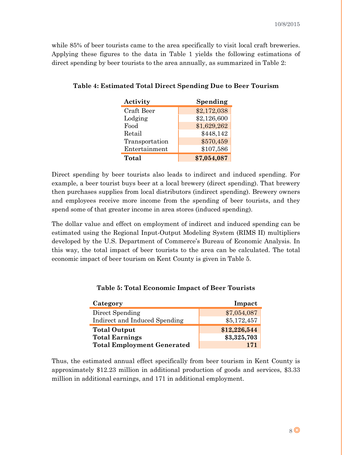while 85% of beer tourists came to the area specifically to visit local craft breweries. Applying these figures to the data in Table 1 yields the following estimations of direct spending by beer tourists to the area annually, as summarized in Table 2:

| Activity       | Spending    |
|----------------|-------------|
| Craft Beer     | \$2,172,038 |
| Lodging        | \$2,126,600 |
| Food           | \$1,629,262 |
| Retail         | \$448,142   |
| Transportation | \$570,459   |
| Entertainment  | \$107,586   |
| Total          | \$7,054,087 |

<span id="page-8-0"></span>**Table 4: Estimated Total Direct Spending Due to Beer Tourism**

Direct spending by beer tourists also leads to indirect and induced spending. For example, a beer tourist buys beer at a local brewery (direct spending). That brewery then purchases supplies from local distributors (indirect spending). Brewery owners and employees receive more income from the spending of beer tourists, and they spend some of that greater income in area stores (induced spending).

The dollar value and effect on employment of indirect and induced spending can be estimated using the Regional Input-Output Modeling System (RIMS II) multipliers developed by the U.S. Department of Commerce's Bureau of Economic Analysis. In this way, the total impact of beer tourists to the area can be calculated. The total economic impact of beer tourism on Kent County is given in Table 5.

<span id="page-8-1"></span>

| Category                      | Impact       |
|-------------------------------|--------------|
| Direct Spending               | \$7,054,087  |
| Indirect and Induced Spending | \$5,172,457  |
| <b>Total Output</b>           | \$12,226,544 |
| <b>Total Earnings</b>         | \$3,325,703  |
|                               |              |

**Table 5: Total Economic Impact of Beer Tourists**

Thus, the estimated annual effect specifically from beer tourism in Kent County is approximately \$12.23 million in additional production of goods and services, \$3.33 million in additional earnings, and 171 in additional employment.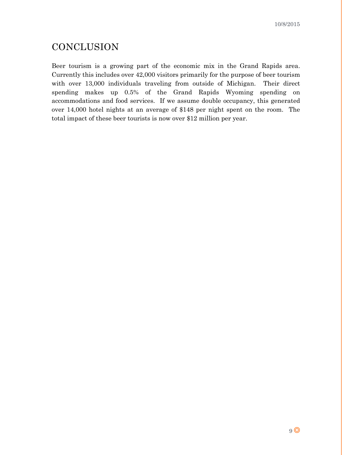# <span id="page-9-0"></span>**CONCLUSION**

Beer tourism is a growing part of the economic mix in the Grand Rapids area. Currently this includes over 42,000 visitors primarily for the purpose of beer tourism with over 13,000 individuals traveling from outside of Michigan. Their direct spending makes up 0.5% of the Grand Rapids Wyoming spending on accommodations and food services. If we assume double occupancy, this generated over 14,000 hotel nights at an average of \$148 per night spent on the room. The total impact of these beer tourists is now over \$12 million per year.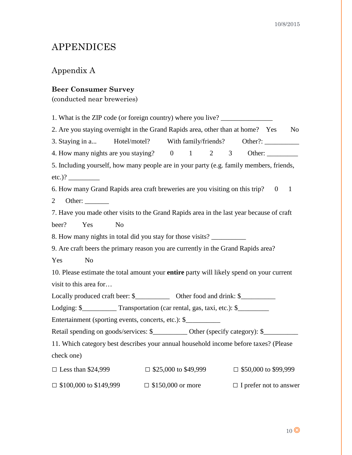# <span id="page-10-0"></span>APPENDICES

#### <span id="page-10-1"></span>Appendix A

#### **Beer Consumer Survey**

(conducted near breweries)

1. What is the ZIP code (or foreign country) where you live? \_\_\_\_\_\_\_\_\_\_\_\_\_\_\_\_\_\_\_ 2. Are you staying overnight in the Grand Rapids area, other than at home? Yes No 3. Staying in a... Hotel/motel? With family/friends? Other?: 4. How many nights are you staying? 0 1 2 3 Other: \_\_\_\_\_\_\_\_\_ 5. Including yourself, how many people are in your party (e.g. family members, friends, etc.)? \_\_\_\_\_\_\_\_\_ 6. How many Grand Rapids area craft breweries are you visiting on this trip? 0 1 2 Other: \_\_\_\_\_\_\_ 7. Have you made other visits to the Grand Rapids area in the last year because of craft beer? Yes No 8. How many nights in total did you stay for those visits? 9. Are craft beers the primary reason you are currently in the Grand Rapids area? Yes No 10. Please estimate the total amount your **entire** party will likely spend on your current visit to this area for… Locally produced craft beer: \$\_\_\_\_\_\_\_\_\_\_\_\_ Other food and drink: \$\_\_\_\_\_\_\_\_\_\_\_\_\_\_ Lodging:  $\$  Transportation (car rental, gas, taxi, etc.):  $\$ Entertainment (sporting events, concerts, etc.): \$ Retail spending on goods/services: \$\_\_\_\_\_\_\_\_\_\_\_ Other (specify category): \$\_\_\_\_\_\_ 11. Which category best describes your annual household income before taxes? (Please check one) □ Less than \$24,999 □ \$25,000 to \$49,999 □ \$50,000 to \$99,999  $\Box$  \$100,000 to \$149,999  $\Box$  \$150,000 or more  $\Box$  I prefer not to answer